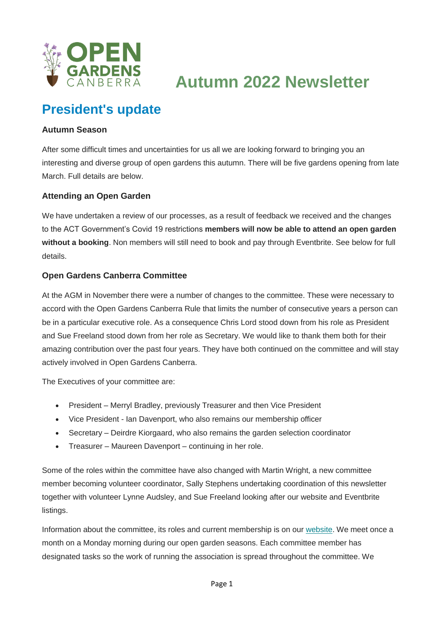

**Autumn 2022 Newsletter**

### **President's update**

#### **Autumn Season**

After some difficult times and uncertainties for us all we are looking forward to bringing you an interesting and diverse group of open gardens this autumn. There will be five gardens opening from late March. Full details are below.

#### **Attending an Open Garden**

We have undertaken a review of our processes, as a result of feedback we received and the changes to the ACT Government's Covid 19 restrictions **members will now be able to attend an open garden without a booking**. Non members will still need to book and pay through Eventbrite. See below for full details.

#### **Open Gardens Canberra Committee**

At the AGM in November there were a number of changes to the committee. These were necessary to accord with the Open Gardens Canberra Rule that limits the number of consecutive years a person can be in a particular executive role. As a consequence Chris Lord stood down from his role as President and Sue Freeland stood down from her role as Secretary. We would like to thank them both for their amazing contribution over the past four years. They have both continued on the committee and will stay actively involved in Open Gardens Canberra.

The Executives of your committee are:

- President Merryl Bradley, previously Treasurer and then Vice President
- Vice President Ian Davenport, who also remains our membership officer
- Secretary Deirdre Kiorgaard, who also remains the garden selection coordinator
- Treasurer Maureen Davenport continuing in her role.

Some of the roles within the committee have also changed with Martin Wright, a new committee member becoming volunteer coordinator, Sally Stephens undertaking coordination of this newsletter together with volunteer Lynne Audsley, and Sue Freeland looking after our website and Eventbrite listings.

Information about the committee, its roles and current membership is on our [website.](https://opengardenscanberra.us11.list-manage.com/track/click?u=7d2d342524d7c279c39f6bca2&id=40f32dbefc&e=7a43c8cbf8) We meet once a month on a Monday morning during our open garden seasons. Each committee member has designated tasks so the work of running the association is spread throughout the committee. We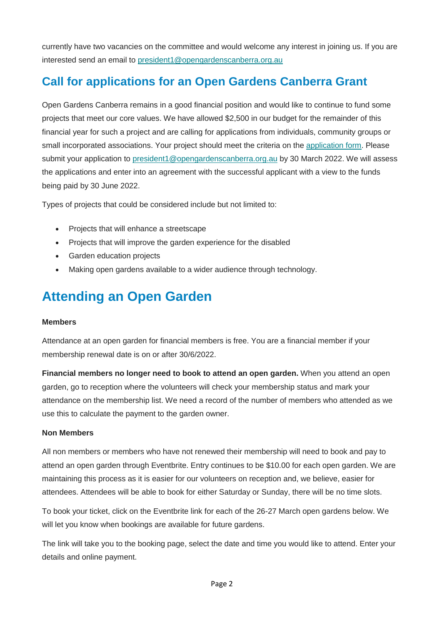currently have two vacancies on the committee and would welcome any interest in joining us. If you are interested send an email to [president1@opengardenscanberra.org.au](mailto:president1@opengardenscanberra.org.au?subject=Committee%20position%20expression%20of%20interest)

### **Call for applications for an Open Gardens Canberra Grant**

Open Gardens Canberra remains in a good financial position and would like to continue to fund some projects that meet our core values. We have allowed \$2,500 in our budget for the remainder of this financial year for such a project and are calling for applications from individuals, community groups or small incorporated associations. Your project should meet the criteria on the [application form.](https://opengardenscanberra.us11.list-manage.com/track/click?u=7d2d342524d7c279c39f6bca2&id=27581daa68&e=7a43c8cbf8) Please submit your application to [president1@opengardenscanberra.org.au](mailto:president1@opengardenscanberra.org.au?subject=Application%20for%20Open%20Gardens%20Canberra%20Grant) by 30 March 2022. We will assess the applications and enter into an agreement with the successful applicant with a view to the funds being paid by 30 June 2022.

Types of projects that could be considered include but not limited to:

- Projects that will enhance a streetscape
- Projects that will improve the garden experience for the disabled
- Garden education projects
- Making open gardens available to a wider audience through technology.

## **Attending an Open Garden**

#### **Members**

Attendance at an open garden for financial members is free. You are a financial member if your membership renewal date is on or after 30/6/2022.

**Financial members no longer need to book to attend an open garden.** When you attend an open garden, go to reception where the volunteers will check your membership status and mark your attendance on the membership list. We need a record of the number of members who attended as we use this to calculate the payment to the garden owner.

#### **Non Members**

All non members or members who have not renewed their membership will need to book and pay to attend an open garden through Eventbrite. Entry continues to be \$10.00 for each open garden. We are maintaining this process as it is easier for our volunteers on reception and, we believe, easier for attendees. Attendees will be able to book for either Saturday or Sunday, there will be no time slots.

To book your ticket, click on the Eventbrite link for each of the 26-27 March open gardens below. We will let you know when bookings are available for future gardens.

The link will take you to the booking page, select the date and time you would like to attend. Enter your details and online payment.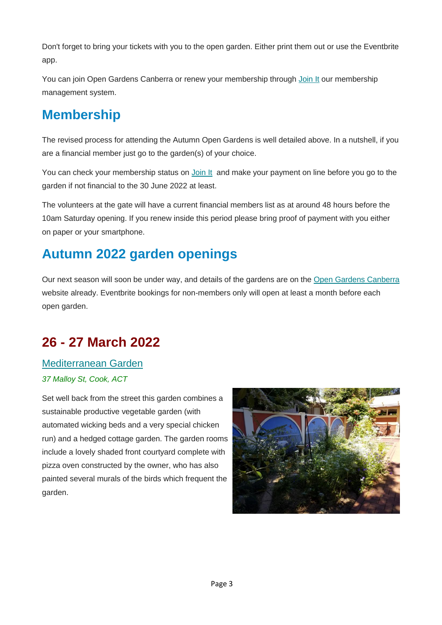Don't forget to bring your tickets with you to the open garden. Either print them out or use the Eventbrite app.

You can join Open Gardens Canberra or renew your membership through [Join It](https://opengardenscanberra.us11.list-manage.com/track/click?u=7d2d342524d7c279c39f6bca2&id=54c216315c&e=7a43c8cbf8) our membership management system.

## **Membership**

The revised process for attending the Autumn Open Gardens is well detailed above. In a nutshell, if you are a financial member just go to the garden(s) of your choice.

You can check your membership status on [Join It](https://opengardenscanberra.us11.list-manage.com/track/click?u=7d2d342524d7c279c39f6bca2&id=2e6f7003ba&e=7a43c8cbf8) and make your payment on line before you go to the garden if not financial to the 30 June 2022 at least.

The volunteers at the gate will have a current financial members list as at around 48 hours before the 10am Saturday opening. If you renew inside this period please bring proof of payment with you either on paper or your smartphone.

## **Autumn 2022 garden openings**

Our next season will soon be under way, and details of the gardens are on the [Open Gardens Canberra](https://opengardenscanberra.us11.list-manage.com/track/click?u=7d2d342524d7c279c39f6bca2&id=541eb3e114&e=7a43c8cbf8) website already. Eventbrite bookings for non-members only will open at least a month before each open garden.

# **26 - 27 March 2022**

### [Mediterranean Garden](https://opengardenscanberra.us11.list-manage.com/track/click?u=7d2d342524d7c279c39f6bca2&id=848e757616&e=7a43c8cbf8) *37 Malloy St, Cook, ACT*

Set well back from the street this garden combines a sustainable productive vegetable garden (with automated wicking beds and a very special chicken run) and a hedged cottage garden. The garden rooms include a lovely shaded front courtyard complete with pizza oven constructed by the owner, who has also painted several murals of the birds which frequent the garden.

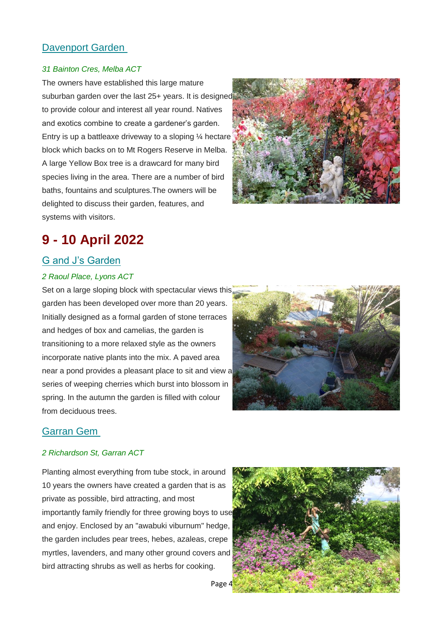### [Davenport Garden](https://opengardenscanberra.us11.list-manage.com/track/click?u=7d2d342524d7c279c39f6bca2&id=e285df4865&e=7a43c8cbf8)

#### *31 Bainton Cres, Melba ACT*

The owners have established this large mature suburban garden over the last 25+ years. It is designed to provide colour and interest all year round. Natives and exotics combine to create a gardener's garden. Entry is up a battleaxe driveway to a sloping  $\frac{1}{4}$  hectare block which backs on to Mt Rogers Reserve in Melba. A large Yellow Box tree is a drawcard for many bird species living in the area. There are a number of bird baths, fountains and sculptures.The owners will be delighted to discuss their garden, features, and systems with visitors.



### **9 - 10 April 2022**

#### [G and J's Garden](https://opengardenscanberra.us11.list-manage.com/track/click?u=7d2d342524d7c279c39f6bca2&id=7819e7a9f3&e=7a43c8cbf8)

#### *2 Raoul Place, Lyons ACT*

Set on a large sloping block with spectacular views this garden has been developed over more than 20 years. Initially designed as a formal garden of stone terraces and hedges of box and camelias, the garden is transitioning to a more relaxed style as the owners incorporate native plants into the mix. A paved area near a pond provides a pleasant place to sit and view a series of weeping cherries which burst into blossom in spring. In the autumn the garden is filled with colour from deciduous trees.



#### [Garran Gem](https://opengardenscanberra.us11.list-manage.com/track/click?u=7d2d342524d7c279c39f6bca2&id=76be44bc85&e=7a43c8cbf8)

#### *2 Richardson St, Garran ACT*

Planting almost everything from tube stock, in around 10 years the owners have created a garden that is as private as possible, bird attracting, and most importantly family friendly for three growing boys to use and enjoy. Enclosed by an "awabuki viburnum" hedge, the garden includes pear trees, hebes, azaleas, crepe myrtles, lavenders, and many other ground covers and bird attracting shrubs as well as herbs for cooking.



Page 4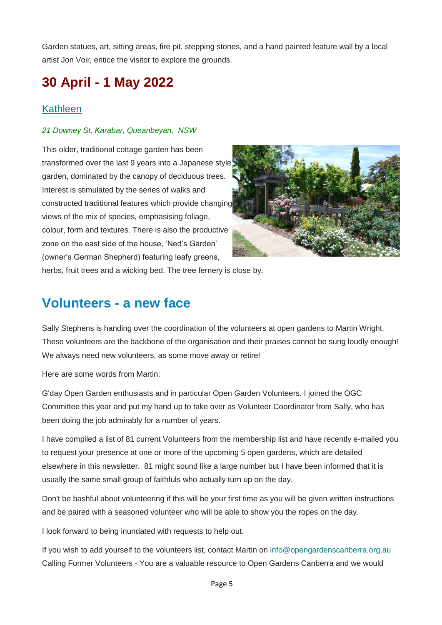Garden statues, art, sitting areas, fire pit, stepping stones, and a hand painted feature wall by a local artist Jon Voir, entice the visitor to explore the grounds.

## **30 April - 1 May 2022**

### **[Kathleen](https://opengardenscanberra.us11.list-manage.com/track/click?u=7d2d342524d7c279c39f6bca2&id=823fede51c&e=7a43c8cbf8)**

#### *21 Downey St, Karabar, Queanbeyan, NSW*

This older, traditional cottage garden has been transformed over the last 9 years into a Japanese style garden, dominated by the canopy of deciduous trees. Interest is stimulated by the series of walks and constructed traditional features which provide changing views of the mix of species, emphasising foliage, colour, form and textures. There is also the productive zone on the east side of the house, 'Ned's Garden' (owner's German Shepherd) featuring leafy greens,



herbs, fruit trees and a wicking bed. The tree fernery is close by.

### **Volunteers - a new face**

Sally Stephens is handing over the coordination of the volunteers at open gardens to Martin Wright. These volunteers are the backbone of the organisation and their praises cannot be sung loudly enough! We always need new volunteers, as some move away or retire!

Here are some words from Martin:

G'day Open Garden enthusiasts and in particular Open Garden Volunteers. I joined the OGC Committee this year and put my hand up to take over as Volunteer Coordinator from Sally, who has been doing the job admirably for a number of years.

I have compiled a list of 81 current Volunteers from the membership list and have recently e-mailed you to request your presence at one or more of the upcoming 5 open gardens, which are detailed elsewhere in this newsletter. 81 might sound like a large number but I have been informed that it is usually the same small group of faithfuls who actually turn up on the day.

Don't be bashful about volunteering if this will be your first time as you will be given written instructions and be paired with a seasoned volunteer who will be able to show you the ropes on the day.

I look forward to being inundated with requests to help out.

If you wish to add yourself to the volunteers list, contact Martin on [info@opengardenscanberra.org.au](mailto:info@opengardenscanberra.org.au) Calling Former Volunteers - You are a valuable resource to Open Gardens Canberra and we would